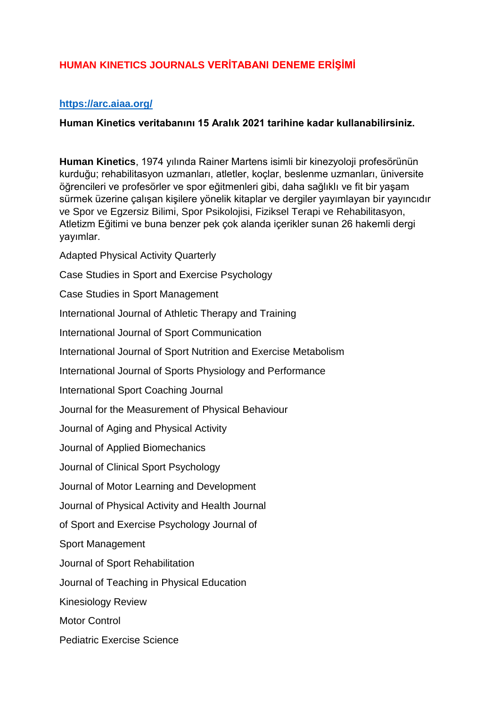## **HUMAN KINETICS JOURNALS VERİTABANI DENEME ERİŞİMİ**

## **<https://arc.aiaa.org/>**

## **Human Kinetics veritabanını 15 Aralık 2021 tarihine kadar kullanabilirsiniz.**

**Human Kinetics**, 1974 yılında Rainer Martens isimli bir kinezyoloji profesörünün kurduğu; rehabilitasyon uzmanları, atletler, koçlar, beslenme uzmanları, üniversite öğrencileri ve profesörler ve spor eğitmenleri gibi, daha sağlıklı ve fit bir yaşam sürmek üzerine çalışan kişilere yönelik kitaplar ve dergiler yayımlayan bir yayıncıdır ve Spor ve Egzersiz Bilimi, Spor Psikolojisi, Fiziksel Terapi ve Rehabilitasyon, Atletizm Eğitimi ve buna benzer pek çok alanda içerikler sunan 26 hakemli dergi yayımlar.

Adapted Physical Activity Quarterly

Case Studies in Sport and Exercise Psychology

Case Studies in Sport Management

International Journal of Athletic Therapy and Training

International Journal of Sport Communication

International Journal of Sport Nutrition and Exercise Metabolism

International Journal of Sports Physiology and Performance

International Sport Coaching Journal

Journal for the Measurement of Physical Behaviour

Journal of Aging and Physical Activity

Journal of Applied Biomechanics

Journal of Clinical Sport Psychology

Journal of Motor Learning and Development

Journal of Physical Activity and Health Journal

of Sport and Exercise Psychology Journal of

Sport Management

Journal of Sport Rehabilitation

Journal of Teaching in Physical Education

Kinesiology Review

Motor Control

Pediatric Exercise Science